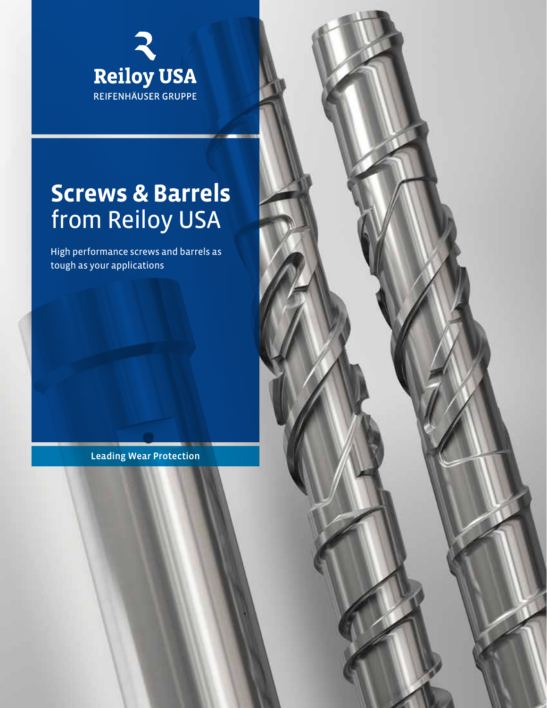

## **Screws & Barrels**  from Reiloy USA

High performance screws and barrels as tough as your applications

Leading Wear Protection

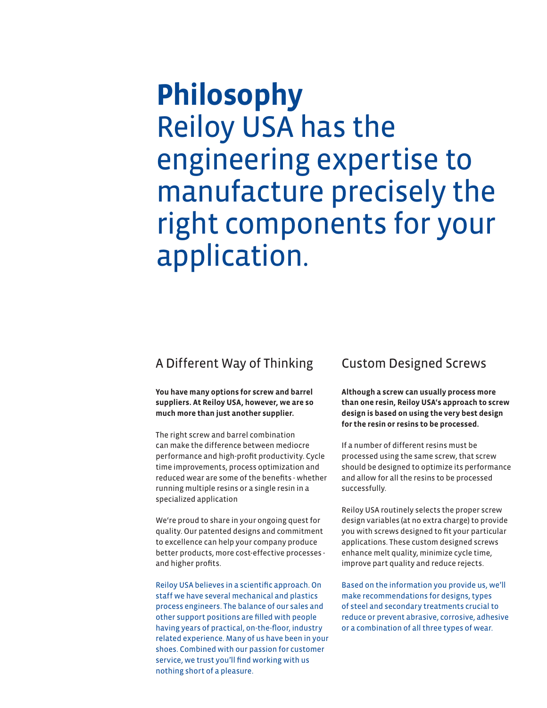## **Philosophy** Reiloy USA has the engineering expertise to manufacture precisely the right components for your application.

### A Different Way of Thinking

#### **You have many options for screw and barrel suppliers. At Reiloy USA, however, we are so much more than just another supplier.**

The right screw and barrel combination can make the difference between mediocre performance and high-profit productivity. Cycle time improvements, process optimization and reduced wear are some of the benefits - whether running multiple resins or a single resin in a specialized application

We're proud to share in your ongoing quest for quality. Our patented designs and commitment to excellence can help your company produce better products, more cost-effective processes and higher profits.

Reiloy USA believes in a scientific approach. On staff we have several mechanical and plastics process engineers. The balance of our sales and other support positions are filled with people having years of practical, on-the-floor, industry related experience. Many of us have been in your shoes. Combined with our passion for customer service, we trust you'll find working with us nothing short of a pleasure.

### Custom Designed Screws

**Although a screw can usually process more than one resin, Reiloy USA's approach to screw design is based on using the very best design for the resin or resins to be processed.**

If a number of different resins must be processed using the same screw, that screw should be designed to optimize its performance and allow for all the resins to be processed successfully.

Reiloy USA routinely selects the proper screw design variables (at no extra charge) to provide you with screws designed to fit your particular applications. These custom designed screws enhance melt quality, minimize cycle time, improve part quality and reduce rejects.

Based on the information you provide us, we'll make recommendations for designs, types of steel and secondary treatments crucial to reduce or prevent abrasive, corrosive, adhesive or a combination of all three types of wear.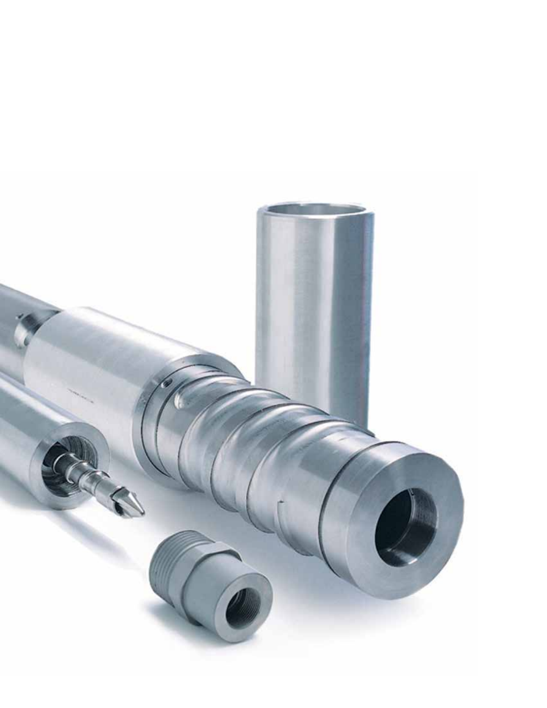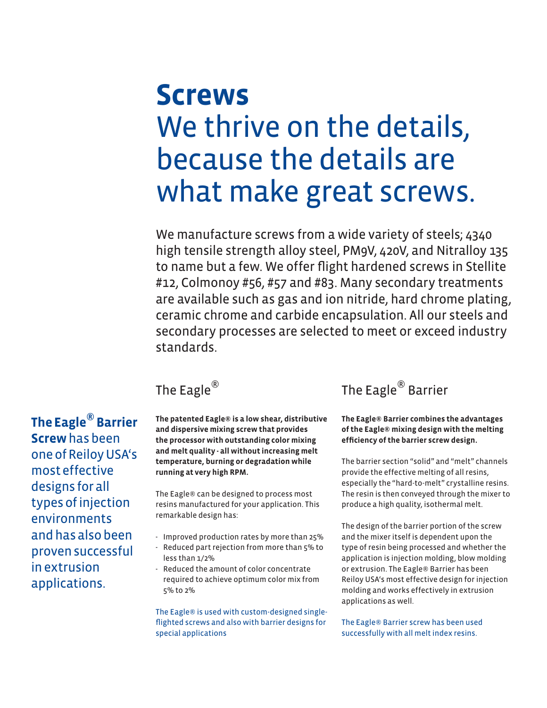## **Screws** We thrive on the details, because the details are what make great screws.

We manufacture screws from a wide variety of steels; 4340 high tensile strength alloy steel, PM9V, 420V, and Nitralloy 135 to name but a few. We offer flight hardened screws in Stellite #12, Colmonoy #56, #57 and #83. Many secondary treatments are available such as gas and ion nitride, hard chrome plating, ceramic chrome and carbide encapsulation. All our steels and secondary processes are selected to meet or exceed industry standards.

### The Eagle®

**The Eagle® Barrier Screw** has been one of Reiloy USA's most effective designs for all types of injection environments and has also been proven successful in extrusion applications.

**The patented Eagle® is a low shear, distributive and dispersive mixing screw that provides the processor with outstanding color mixing and melt quality - all without increasing melt temperature, burning or degradation while running at very high RPM.** 

The Eagle® can be designed to process most resins manufactured for your application. This remarkable design has:

- Improved production rates by more than 25%
- Reduced part rejection from more than 5% to less than 1/2%
- Reduced the amount of color concentrate required to achieve optimum color mix from 5% to 2%

The Eagle® is used with custom-designed singleflighted screws and also with barrier designs for special applications

## The Eagle® Barrier

#### **The Eagle® Barrier combines the advantages of the Eagle® mixing design with the melting efficiency of the barrier screw design.**

The barrier section "solid" and "melt" channels provide the effective melting of all resins, especially the "hard-to-melt" crystalline resins. The resin is then conveyed through the mixer to produce a high quality, isothermal melt.

The design of the barrier portion of the screw and the mixer itself is dependent upon the type of resin being processed and whether the application is injection molding, blow molding or extrusion. The Eagle® Barrier has been Reiloy USA's most effective design for injection molding and works effectively in extrusion applications as well.

The Eagle® Barrier screw has been used successfully with all melt index resins.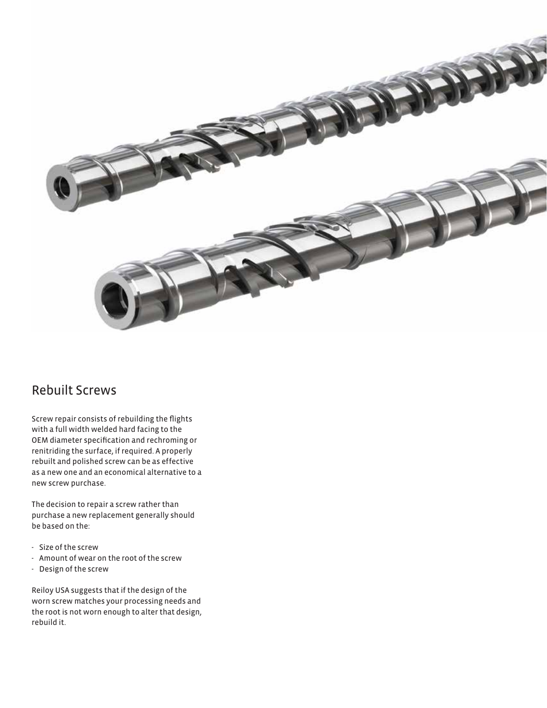

### Rebuilt Screws

Screw repair consists of rebuilding the flights with a full width welded hard facing to the OEM diameter specification and rechroming or renitriding the surface, if required. A properly rebuilt and polished screw can be as effective as a new one and an economical alternative to a new screw purchase.

The decision to repair a screw rather than purchase a new replacement generally should be based on the:

- Size of the screw
- Amount of wear on the root of the screw
- Design of the screw

Reiloy USA suggests that if the design of the worn screw matches your processing needs and the root is not worn enough to alter that design, rebuild it.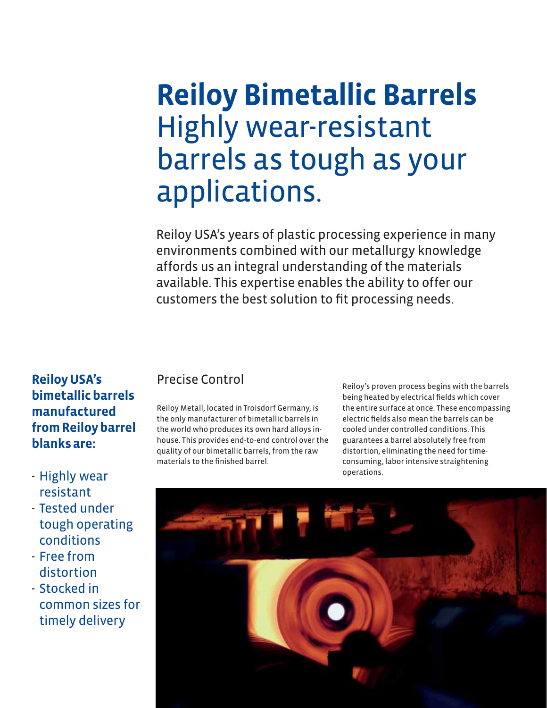# **Reiloy Bimetallic Barrels** Highly wear-resistant barrels as tough as your applications.

Reiloy USA's years of plastic processing experience in many environments combined with our metallurgy knowledge affords us an integral understanding of the materials available. This expertise enables the ability to offer our customers the best solution to fit processing needs.

### **Reiloy USA's bimetallic barrels manufactured from Reiloy barrel blanks are:**

- Highly wear resistant
- Tested under tough operating conditions
- Free from distortion
- Stocked in common sizes for timely delivery

### Precise Control

Reiloy Metall, located in Troisdorf Germany, is the only manufacturer of bimetallic barrels in the world who produces its own hard alloys inhouse. This provides end-to-end control over the quality of our bimetallic barrels, from the raw materials to the finished barrel.

Reiloy's proven process begins with the barrels being heated by electrical fields which cover the entire surface at once. These encompassing electric fields also mean the barrels can be cooled under controlled conditions. This guarantees a barrel absolutely free from distortion, eliminating the need for timeconsuming, labor intensive straightening operations.

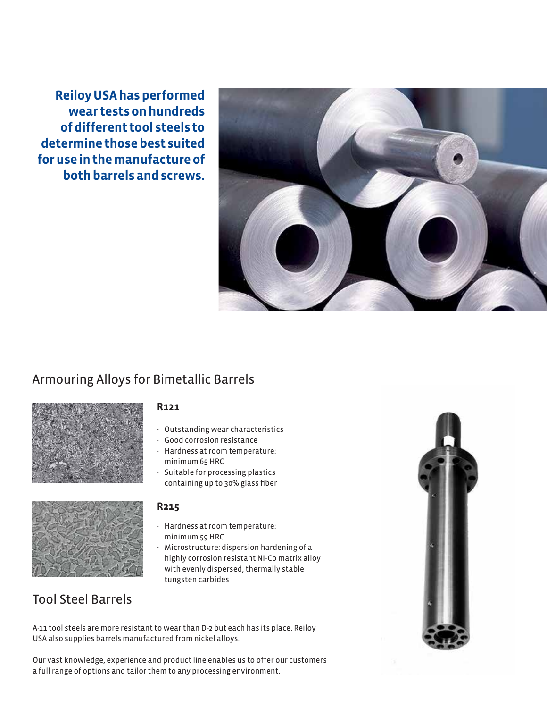**Reiloy USA has performed wear tests on hundreds of different tool steels to determine those best suited for use in the manufacture of both barrels and screws.** 



### Armouring Alloys for Bimetallic Barrels



#### **R121**

- Outstanding wear characteristics
- Good corrosion resistance
- Hardness at room temperature: minimum 65 HRC
- Suitable for processing plastics containing up to 30% glass fiber



### **R215**

- Hardness at room temperature: minimum 59 HRC
- Microstructure: dispersion hardening of a highly corrosion resistant NI-Co matrix alloy with evenly dispersed, thermally stable tungsten carbides

### Tool Steel Barrels

A-11 tool steels are more resistant to wear than D-2 but each has its place. Reiloy USA also supplies barrels manufactured from nickel alloys.

Our vast knowledge, experience and product line enables us to offer our customers a full range of options and tailor them to any processing environment.

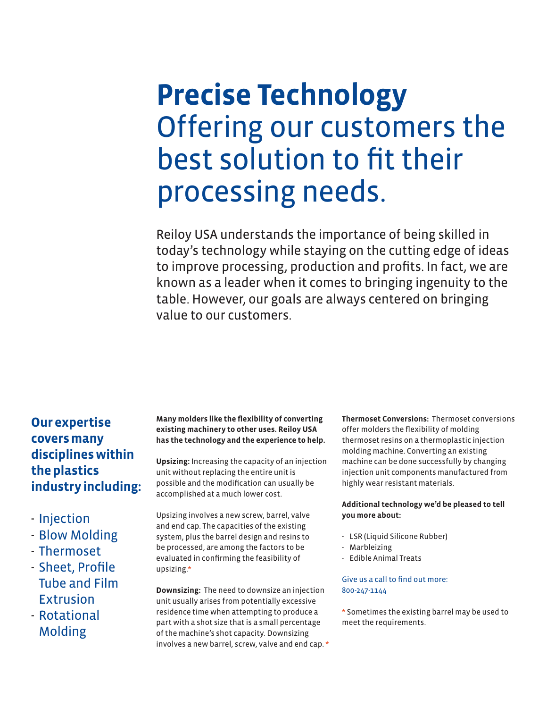# **Precise Technology** Offering our customers the best solution to fit their processing needs.

Reiloy USA understands the importance of being skilled in today's technology while staying on the cutting edge of ideas to improve processing, production and profits. In fact, we are known as a leader when it comes to bringing ingenuity to the table. However, our goals are always centered on bringing value to our customers.

### **Our expertise covers many disciplines within the plastics industry including:**

- Injection
- Blow Molding
- Thermoset
- Sheet, Profile Tube and Film Extrusion
- Rotational Molding

**Many molders like the flexibility of converting existing machinery to other uses. Reiloy USA has the technology and the experience to help.** 

**Upsizing:** Increasing the capacity of an injection unit without replacing the entire unit is possible and the modification can usually be accomplished at a much lower cost.

Upsizing involves a new screw, barrel, valve and end cap. The capacities of the existing system, plus the barrel design and resins to be processed, are among the factors to be evaluated in confirming the feasibility of upsizing.\*

**Downsizing:** The need to downsize an injection unit usually arises from potentially excessive residence time when attempting to produce a part with a shot size that is a small percentage of the machine's shot capacity. Downsizing involves a new barrel, screw, valve and end cap. \* **Thermoset Conversions:** Thermoset conversions offer molders the flexibility of molding thermoset resins on a thermoplastic injection molding machine. Converting an existing machine can be done successfully by changing injection unit components manufactured from highly wear resistant materials.

#### **Additional technology we'd be pleased to tell you more about:**

- LSR (Liquid Silicone Rubber)
- Marbleizing
- Edible Animal Treats

Give us a call to find out more: 800-247-1144

\* Sometimes the existing barrel may be used to meet the requirements.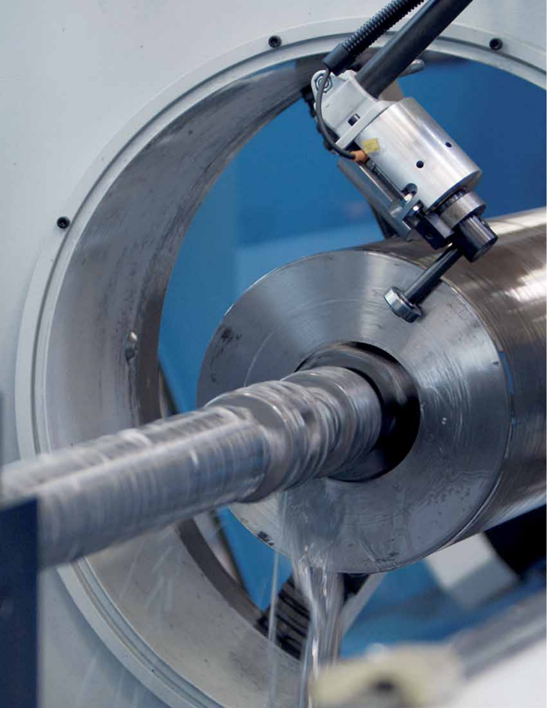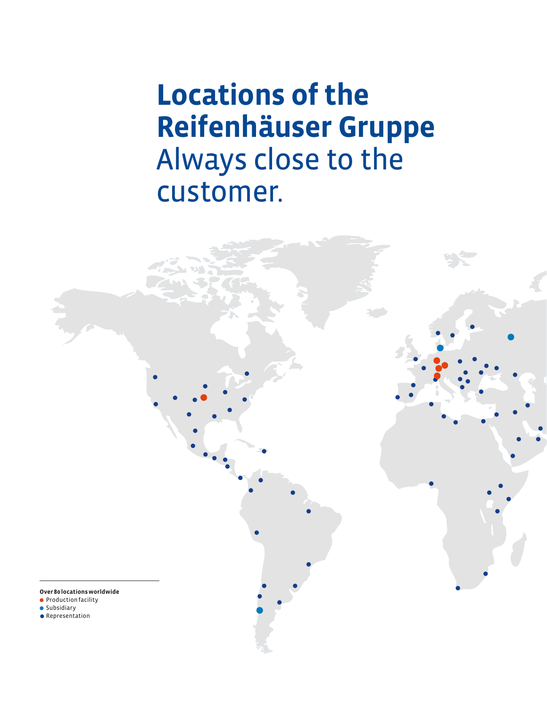**Locations of the Reifenhäuser Gruppe**  Always close to the customer.

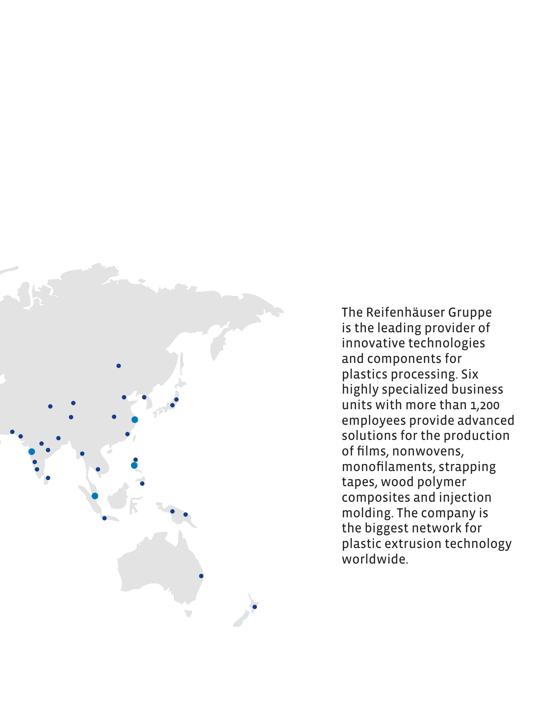![](_page_10_Figure_0.jpeg)

The Reifenhäuser Gruppe is the leading provider of innovative technologies and components for plastics processing. Six highly specialized business units with more than 1,200 employees provide advanced solutions for the production of films, nonwovens, monofilaments, strapping tapes, wood polymer composites and injection molding. The company is the biggest network for plastic extrusion technology worldwide.